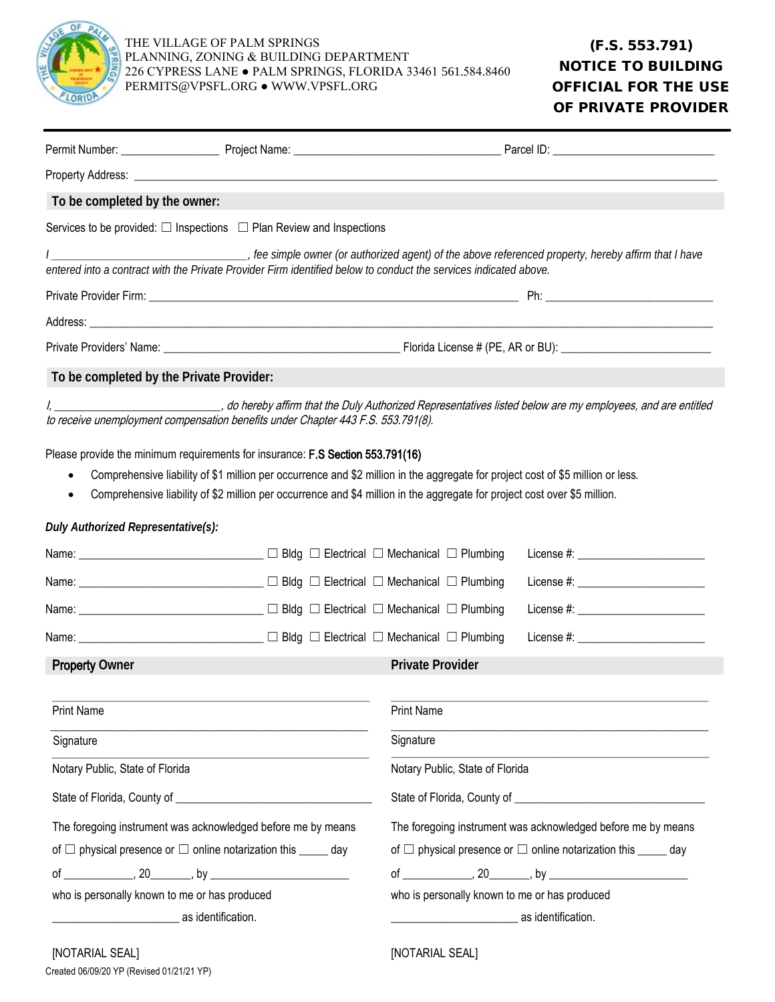

| To be completed by the owner:                                                                                                                                         |                                                                                  |                                                                                                                                                                                                                                                              |  |
|-----------------------------------------------------------------------------------------------------------------------------------------------------------------------|----------------------------------------------------------------------------------|--------------------------------------------------------------------------------------------------------------------------------------------------------------------------------------------------------------------------------------------------------------|--|
|                                                                                                                                                                       | Services to be provided: $\Box$ Inspections $\Box$ Plan Review and Inspections   |                                                                                                                                                                                                                                                              |  |
|                                                                                                                                                                       |                                                                                  | entered into a contract with the Private Provider Firm identified below to conduct the services indicated above.                                                                                                                                             |  |
|                                                                                                                                                                       |                                                                                  |                                                                                                                                                                                                                                                              |  |
|                                                                                                                                                                       |                                                                                  |                                                                                                                                                                                                                                                              |  |
|                                                                                                                                                                       |                                                                                  |                                                                                                                                                                                                                                                              |  |
| To be completed by the Private Provider:                                                                                                                              |                                                                                  |                                                                                                                                                                                                                                                              |  |
|                                                                                                                                                                       | to receive unemployment compensation benefits under Chapter 443 F.S. 553.791(8). | I, ________________________________, do hereby affirm that the Duly Authorized Representatives listed below are my employees, and are entitled                                                                                                               |  |
|                                                                                                                                                                       | Please provide the minimum requirements for insurance: F.S Section 553.791(16)   |                                                                                                                                                                                                                                                              |  |
|                                                                                                                                                                       |                                                                                  | Comprehensive liability of \$1 million per occurrence and \$2 million in the aggregate for project cost of \$5 million or less.<br>Comprehensive liability of \$2 million per occurrence and \$4 million in the aggregate for project cost over \$5 million. |  |
| Duly Authorized Representative(s):                                                                                                                                    |                                                                                  |                                                                                                                                                                                                                                                              |  |
|                                                                                                                                                                       | Name: _____________________________ □ Bldg □ Electrical □ Mechanical □ Plumbing  |                                                                                                                                                                                                                                                              |  |
|                                                                                                                                                                       | Name: ______________________________ □ Bldg □ Electrical □ Mechanical □ Plumbing |                                                                                                                                                                                                                                                              |  |
|                                                                                                                                                                       | Name: ______________________________ □ Bldg □ Electrical □ Mechanical □ Plumbing |                                                                                                                                                                                                                                                              |  |
|                                                                                                                                                                       | Name: _____________________________ □ Bldg □ Electrical □ Mechanical □ Plumbing  | License #: _________________________                                                                                                                                                                                                                         |  |
| <b>Property Owner</b>                                                                                                                                                 |                                                                                  | <b>Private Provider</b>                                                                                                                                                                                                                                      |  |
| <b>Print Name</b>                                                                                                                                                     |                                                                                  | <b>Print Name</b>                                                                                                                                                                                                                                            |  |
|                                                                                                                                                                       |                                                                                  | Signature                                                                                                                                                                                                                                                    |  |
| Signature                                                                                                                                                             |                                                                                  |                                                                                                                                                                                                                                                              |  |
| Notary Public, State of Florida                                                                                                                                       |                                                                                  | Notary Public, State of Florida                                                                                                                                                                                                                              |  |
|                                                                                                                                                                       |                                                                                  | State of Florida, County of <b>Common Contract of County of County of County of County of County of County of County of County of County of County of County of County of County of County of County of County of County of Coun</b>                         |  |
| The foregoing instrument was acknowledged before me by means                                                                                                          |                                                                                  | The foregoing instrument was acknowledged before me by means                                                                                                                                                                                                 |  |
|                                                                                                                                                                       | of $\Box$ physical presence or $\Box$ online notarization this $\_\_$ day        | of $\Box$ physical presence or $\Box$ online notarization this _____ day                                                                                                                                                                                     |  |
|                                                                                                                                                                       |                                                                                  |                                                                                                                                                                                                                                                              |  |
| who is personally known to me or has produced<br><u> 1980 - Jan Barnett, mars eta bat erroman erroman erroman erroman erroman erroman erroman erroman erroman err</u> | as identification.                                                               | who is personally known to me or has produced<br>as identification.<br><u> 1989 - Jan James James Barnett, martin eta idazlea (</u>                                                                                                                          |  |
|                                                                                                                                                                       |                                                                                  |                                                                                                                                                                                                                                                              |  |

[NOTARIAL SEAL]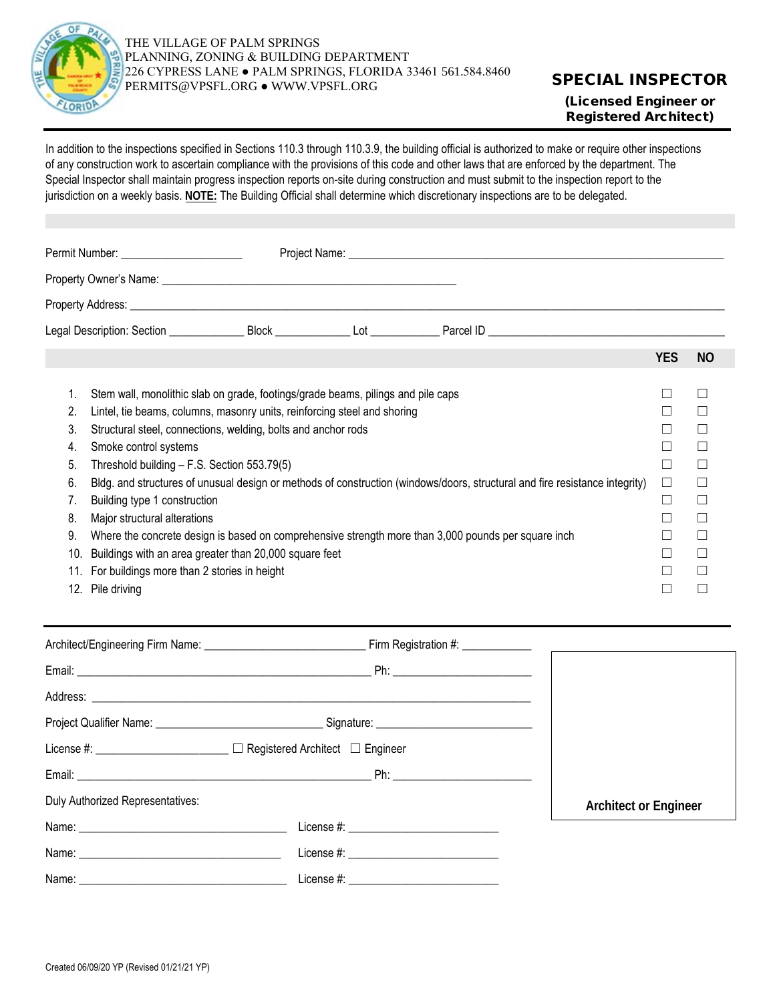

(Licensed Engineer or Registered Architect)

In addition to the inspections specified in Sections 110.3 through 110.3.9, the building official is authorized to make or require other inspections of any construction work to ascertain compliance with the provisions of this code and other laws that are enforced by the department. The Special Inspector shall maintain progress inspection reports on-site during construction and must submit to the inspection report to the jurisdiction on a weekly basis. **NOTE:** The Building Official shall determine which discretionary inspections are to be delegated.

| Permit Number: _________________________                                                                                                                                                                                                                                                                                                                                                                                                                                                                                                                                                                                                                                         |  |                                                                                                                             |            |              |
|----------------------------------------------------------------------------------------------------------------------------------------------------------------------------------------------------------------------------------------------------------------------------------------------------------------------------------------------------------------------------------------------------------------------------------------------------------------------------------------------------------------------------------------------------------------------------------------------------------------------------------------------------------------------------------|--|-----------------------------------------------------------------------------------------------------------------------------|------------|--------------|
|                                                                                                                                                                                                                                                                                                                                                                                                                                                                                                                                                                                                                                                                                  |  |                                                                                                                             |            |              |
|                                                                                                                                                                                                                                                                                                                                                                                                                                                                                                                                                                                                                                                                                  |  |                                                                                                                             |            |              |
|                                                                                                                                                                                                                                                                                                                                                                                                                                                                                                                                                                                                                                                                                  |  |                                                                                                                             |            |              |
|                                                                                                                                                                                                                                                                                                                                                                                                                                                                                                                                                                                                                                                                                  |  |                                                                                                                             | <b>YES</b> | <b>NO</b>    |
| Stem wall, monolithic slab on grade, footings/grade beams, pilings and pile caps<br>1.<br>Lintel, tie beams, columns, masonry units, reinforcing steel and shoring<br>2.<br>3.<br>Structural steel, connections, welding, bolts and anchor rods<br>Smoke control systems<br>4.<br>5.<br>Threshold building - F.S. Section 553.79(5)<br>6.<br>Building type 1 construction<br>7.<br>Major structural alterations<br>8.<br>9.<br>Where the concrete design is based on comprehensive strength more than 3,000 pounds per square inch<br>Buildings with an area greater than 20,000 square feet<br>10.<br>For buildings more than 2 stories in height<br>11.<br>Pile driving<br>12. |  | Bldg. and structures of unusual design or methods of construction (windows/doors, structural and fire resistance integrity) | $\Box$     | $\mathbf{L}$ |

|                                  | License #: _____________________ □ Registered Architect □ Engineer |                              |
|----------------------------------|--------------------------------------------------------------------|------------------------------|
|                                  |                                                                    |                              |
| Duly Authorized Representatives: |                                                                    | <b>Architect or Engineer</b> |
|                                  | License #: ________________________________                        |                              |
|                                  | License #: ________________________________                        |                              |
|                                  |                                                                    |                              |